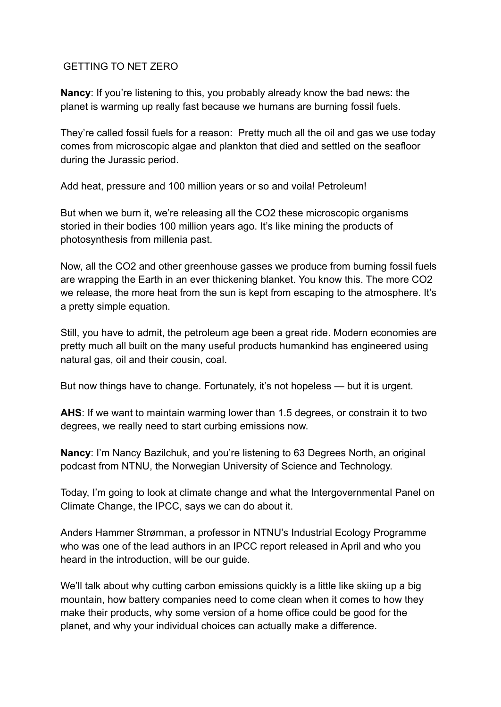## GETTING TO NET ZERO

**Nancy**: If you're listening to this, you probably already know the bad news: the planet is warming up really fast because we humans are burning fossil fuels.

They're called fossil fuels for a reason: Pretty much all the oil and gas we use today comes from microscopic algae and plankton that died and settled on the seafloor during the Jurassic period.

Add heat, pressure and 100 million years or so and voila! Petroleum!

But when we burn it, we're releasing all the CO2 these microscopic organisms storied in their bodies 100 million years ago. It's like mining the products of photosynthesis from millenia past.

Now, all the CO2 and other greenhouse gasses we produce from burning fossil fuels are wrapping the Earth in an ever thickening blanket. You know this. The more CO2 we release, the more heat from the sun is kept from escaping to the atmosphere. It's a pretty simple equation.

Still, you have to admit, the petroleum age been a great ride. Modern economies are pretty much all built on the many useful products humankind has engineered using natural gas, oil and their cousin, coal.

But now things have to change. Fortunately, it's not hopeless — but it is urgent.

**AHS**: If we want to maintain warming lower than 1.5 degrees, or constrain it to two degrees, we really need to start curbing emissions now.

**Nancy**: I'm Nancy Bazilchuk, and you're listening to 63 Degrees North, an original podcast from NTNU, the Norwegian University of Science and Technology.

Today, I'm going to look at climate change and what the Intergovernmental Panel on Climate Change, the IPCC, says we can do about it.

Anders Hammer Strømman, a professor in NTNU's Industrial Ecology Programme who was one of the lead authors in an IPCC report released in April and who you heard in the introduction, will be our guide.

We'll talk about why cutting carbon emissions quickly is a little like skiing up a big mountain, how battery companies need to come clean when it comes to how they make their products, why some version of a home office could be good for the planet, and why your individual choices can actually make a difference.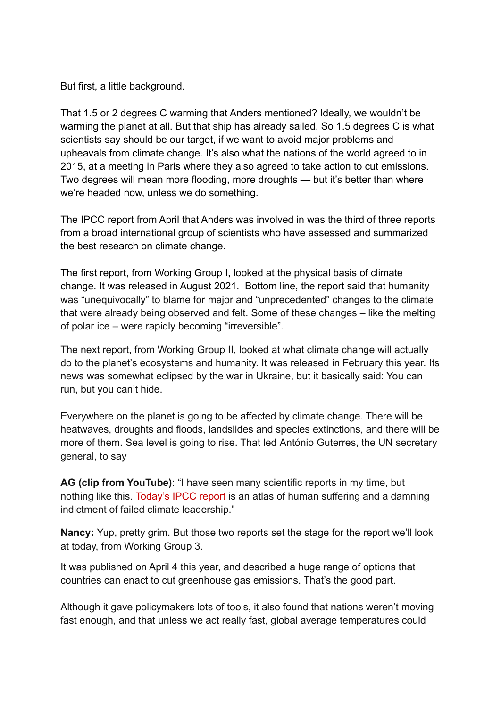But first, a little background.

That 1.5 or 2 degrees C warming that Anders mentioned? Ideally, we wouldn't be warming the planet at all. But that ship has already sailed. So 1.5 degrees C is what scientists say should be our target, if we want to avoid major problems and upheavals from climate change. It's also what the nations of the world agreed to in 2015, at a meeting in Paris where they also agreed to take action to cut emissions. Two degrees will mean more flooding, more droughts — but it's better than where we're headed now, unless we do something.

The IPCC report from April that Anders was involved in was the third of three reports from a broad international group of scientists who have assessed and summarized the best research on climate change.

The first report, from Working Group I, looked at the physical basis of climate change. It was released in August 2021. Bottom line, the report said that humanity was "unequivocally" to blame for major and "unprecedented" changes to the climate that were already being observed and felt. Some of these changes – like the melting of polar ice – were rapidly becoming "irreversible".

The next report, from Working Group II, looked at what climate change will actually do to the planet's ecosystems and humanity. It was released in February this year. Its news was somewhat eclipsed by the war in Ukraine, but it basically said: You can run, but you can't hide.

Everywhere on the planet is going to be affected by climate change. There will be heatwaves, droughts and floods, landslides and species extinctions, and there will be more of them. Sea level is going to rise. That led António Guterres, the UN secretary general, to say

**AG (clip from YouTube)**: "I have seen many scientific reports in my time, but nothing like this. [Today's IPCC report](https://www.ipcc.ch/) is an atlas of human suffering and a damning indictment of failed climate leadership."

**Nancy:** Yup, pretty grim. But those two reports set the stage for the report we'll look at today, from Working Group 3.

It was published on April 4 this year, and described a huge range of options that countries can enact to cut greenhouse gas emissions. That's the good part.

Although it gave policymakers lots of tools, it also found that nations weren't moving fast enough, and that unless we act really fast, global average temperatures could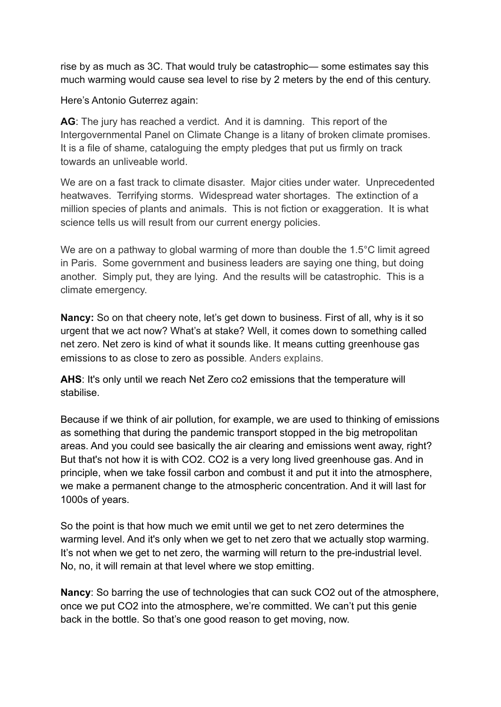rise by as much as 3C. That would truly be catastrophic— some estimates say this much warming would cause sea level to rise by 2 meters by the end of this century.

Here's Antonio Guterrez again:

**AG**: The jury has reached a verdict. And it is damning. This report of the Intergovernmental Panel on Climate Change is a litany of broken climate promises. It is a file of shame, cataloguing the empty pledges that put us firmly on track towards an unliveable world.

We are on a fast track to climate disaster. Major cities under water. Unprecedented heatwaves. Terrifying storms. Widespread water shortages. The extinction of a million species of plants and animals. This is not fiction or exaggeration. It is what science tells us will result from our current energy policies.

We are on a pathway to global warming of more than double the 1.5<sup>o</sup>C limit agreed in Paris. Some government and business leaders are saying one thing, but doing another. Simply put, they are lying. And the results will be catastrophic. This is a climate emergency.

**Nancy:** So on that cheery note, let's get down to business. First of all, why is it so urgent that we act now? What's at stake? Well, it comes down to something called net zero. Net zero is kind of what it sounds like. It means cutting greenhouse gas emissions to as close to zero as possible. Anders explains.

**AHS**: It's only until we reach Net Zero co2 emissions that the temperature will stabilise.

Because if we think of air pollution, for example, we are used to thinking of emissions as something that during the pandemic transport stopped in the big metropolitan areas. And you could see basically the air clearing and emissions went away, right? But that's not how it is with CO2. CO2 is a very long lived greenhouse gas. And in principle, when we take fossil carbon and combust it and put it into the atmosphere, we make a permanent change to the atmospheric concentration. And it will last for 1000s of years.

So the point is that how much we emit until we get to net zero determines the warming level. And it's only when we get to net zero that we actually stop warming. It's not when we get to net zero, the warming will return to the pre-industrial level. No, no, it will remain at that level where we stop emitting.

**Nancy**: So barring the use of technologies that can suck CO2 out of the atmosphere, once we put CO2 into the atmosphere, we're committed. We can't put this genie back in the bottle. So that's one good reason to get moving, now.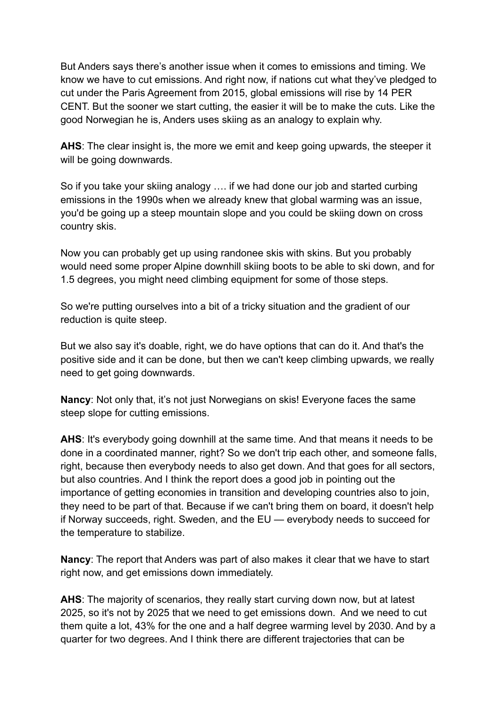But Anders says there's another issue when it comes to emissions and timing. We know we have to cut emissions. And right now, if nations cut what they've pledged to cut under the Paris Agreement from 2015, global emissions will rise by 14 PER CENT. But the sooner we start cutting, the easier it will be to make the cuts. Like the good Norwegian he is, Anders uses skiing as an analogy to explain why.

**AHS**: The clear insight is, the more we emit and keep going upwards, the steeper it will be going downwards.

So if you take your skiing analogy …. if we had done our job and started curbing emissions in the 1990s when we already knew that global warming was an issue, you'd be going up a steep mountain slope and you could be skiing down on cross country skis.

Now you can probably get up using randonee skis with skins. But you probably would need some proper Alpine downhill skiing boots to be able to ski down, and for 1.5 degrees, you might need climbing equipment for some of those steps.

So we're putting ourselves into a bit of a tricky situation and the gradient of our reduction is quite steep.

But we also say it's doable, right, we do have options that can do it. And that's the positive side and it can be done, but then we can't keep climbing upwards, we really need to get going downwards.

**Nancy**: Not only that, it's not just Norwegians on skis! Everyone faces the same steep slope for cutting emissions.

**AHS**: It's everybody going downhill at the same time. And that means it needs to be done in a coordinated manner, right? So we don't trip each other, and someone falls, right, because then everybody needs to also get down. And that goes for all sectors, but also countries. And I think the report does a good job in pointing out the importance of getting economies in transition and developing countries also to join, they need to be part of that. Because if we can't bring them on board, it doesn't help if Norway succeeds, right. Sweden, and the EU — everybody needs to succeed for the temperature to stabilize.

**Nancy**: The report that Anders was part of also makes it clear that we have to start right now, and get emissions down immediately.

**AHS**: The majority of scenarios, they really start curving down now, but at latest 2025, so it's not by 2025 that we need to get emissions down. And we need to cut them quite a lot, 43% for the one and a half degree warming level by 2030. And by a quarter for two degrees. And I think there are different trajectories that can be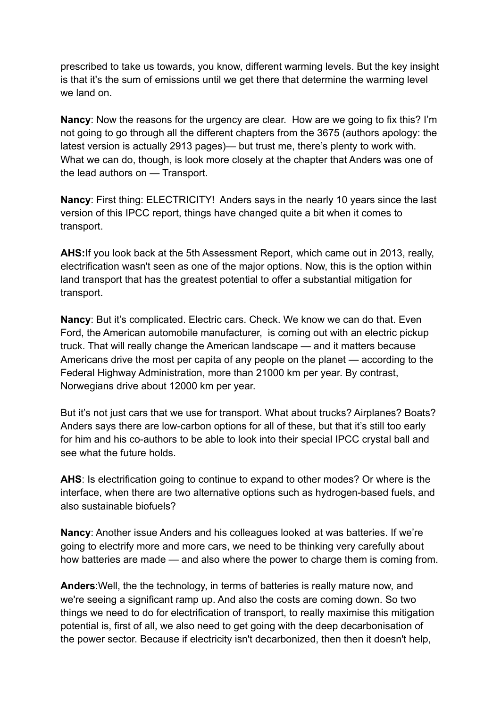prescribed to take us towards, you know, different warming levels. But the key insight is that it's the sum of emissions until we get there that determine the warming level we land on.

**Nancy**: Now the reasons for the urgency are clear. How are we going to fix this? I'm not going to go through all the different chapters from the 3675 (authors apology: the latest version is actually 2913 pages)— but trust me, there's plenty to work with. What we can do, though, is look more closely at the chapter that Anders was one of the lead authors on — Transport.

**Nancy**: First thing: ELECTRICITY! Anders says in the nearly 10 years since the last version of this IPCC report, things have changed quite a bit when it comes to transport.

**AHS:**If you look back at the 5th Assessment Report, which came out in 2013, really, electrification wasn't seen as one of the major options. Now, this is the option within land transport that has the greatest potential to offer a substantial mitigation for transport.

**Nancy**: But it's complicated. Electric cars. Check. We know we can do that. Even Ford, the American automobile manufacturer, is coming out with an electric pickup truck. That will really change the American landscape — and it matters because Americans drive the most per capita of any people on the planet — according to the Federal Highway Administration, more than 21000 km per year. By contrast, Norwegians drive about 12000 km per year.

But it's not just cars that we use for transport. What about trucks? Airplanes? Boats? Anders says there are low-carbon options for all of these, but that it's still too early for him and his co-authors to be able to look into their special IPCC crystal ball and see what the future holds.

**AHS**: Is electrification going to continue to expand to other modes? Or where is the interface, when there are two alternative options such as hydrogen-based fuels, and also sustainable biofuels?

**Nancy**: Another issue Anders and his colleagues looked at was batteries. If we're going to electrify more and more cars, we need to be thinking very carefully about how batteries are made — and also where the power to charge them is coming from.

**Anders**:Well, the the technology, in terms of batteries is really mature now, and we're seeing a significant ramp up. And also the costs are coming down. So two things we need to do for electrification of transport, to really maximise this mitigation potential is, first of all, we also need to get going with the deep decarbonisation of the power sector. Because if electricity isn't decarbonized, then then it doesn't help,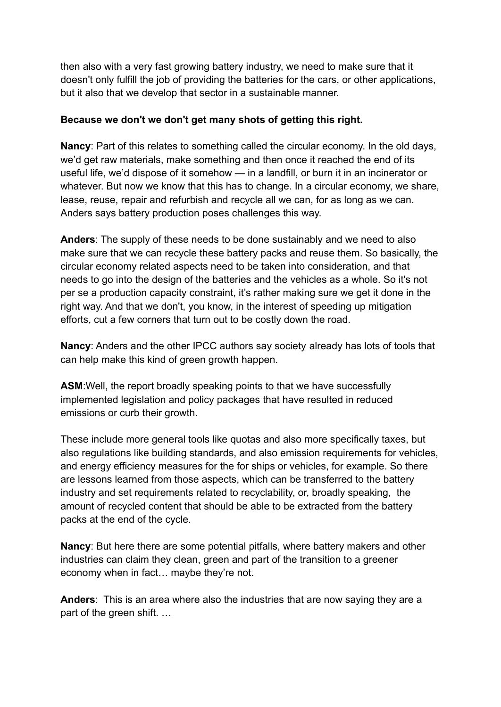then also with a very fast growing battery industry, we need to make sure that it doesn't only fulfill the job of providing the batteries for the cars, or other applications, but it also that we develop that sector in a sustainable manner.

## **Because we don't we don't get many shots of getting this right.**

**Nancy**: Part of this relates to something called the circular economy. In the old days, we'd get raw materials, make something and then once it reached the end of its useful life, we'd dispose of it somehow — in a landfill, or burn it in an incinerator or whatever. But now we know that this has to change. In a circular economy, we share, lease, reuse, repair and refurbish and recycle all we can, for as long as we can. Anders says battery production poses challenges this way.

**Anders**: The supply of these needs to be done sustainably and we need to also make sure that we can recycle these battery packs and reuse them. So basically, the circular economy related aspects need to be taken into consideration, and that needs to go into the design of the batteries and the vehicles as a whole. So it's not per se a production capacity constraint, it's rather making sure we get it done in the right way. And that we don't, you know, in the interest of speeding up mitigation efforts, cut a few corners that turn out to be costly down the road.

**Nancy**: Anders and the other IPCC authors say society already has lots of tools that can help make this kind of green growth happen.

**ASM**:Well, the report broadly speaking points to that we have successfully implemented legislation and policy packages that have resulted in reduced emissions or curb their growth.

These include more general tools like quotas and also more specifically taxes, but also regulations like building standards, and also emission requirements for vehicles, and energy efficiency measures for the for ships or vehicles, for example. So there are lessons learned from those aspects, which can be transferred to the battery industry and set requirements related to recyclability, or, broadly speaking, the amount of recycled content that should be able to be extracted from the battery packs at the end of the cycle.

**Nancy**: But here there are some potential pitfalls, where battery makers and other industries can claim they clean, green and part of the transition to a greener economy when in fact… maybe they're not.

**Anders**: This is an area where also the industries that are now saying they are a part of the green shift. …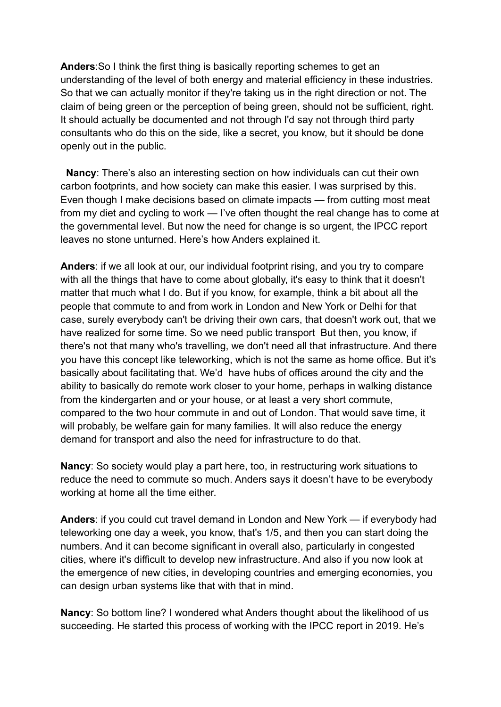**Anders**:So I think the first thing is basically reporting schemes to get an understanding of the level of both energy and material efficiency in these industries. So that we can actually monitor if they're taking us in the right direction or not. The claim of being green or the perception of being green, should not be sufficient, right. It should actually be documented and not through I'd say not through third party consultants who do this on the side, like a secret, you know, but it should be done openly out in the public.

**Nancy**: There's also an interesting section on how individuals can cut their own carbon footprints, and how society can make this easier. I was surprised by this. Even though I make decisions based on climate impacts — from cutting most meat from my diet and cycling to work — I've often thought the real change has to come at the governmental level. But now the need for change is so urgent, the IPCC report leaves no stone unturned. Here's how Anders explained it.

**Anders**: if we all look at our, our individual footprint rising, and you try to compare with all the things that have to come about globally, it's easy to think that it doesn't matter that much what I do. But if you know, for example, think a bit about all the people that commute to and from work in London and New York or Delhi for that case, surely everybody can't be driving their own cars, that doesn't work out, that we have realized for some time. So we need public transport But then, you know, if there's not that many who's travelling, we don't need all that infrastructure. And there you have this concept like teleworking, which is not the same as home office. But it's basically about facilitating that. We'd have hubs of offices around the city and the ability to basically do remote work closer to your home, perhaps in walking distance from the kindergarten and or your house, or at least a very short commute, compared to the two hour commute in and out of London. That would save time, it will probably, be welfare gain for many families. It will also reduce the energy demand for transport and also the need for infrastructure to do that.

**Nancy**: So society would play a part here, too, in restructuring work situations to reduce the need to commute so much. Anders says it doesn't have to be everybody working at home all the time either.

**Anders**: if you could cut travel demand in London and New York — if everybody had teleworking one day a week, you know, that's 1/5, and then you can start doing the numbers. And it can become significant in overall also, particularly in congested cities, where it's difficult to develop new infrastructure. And also if you now look at the emergence of new cities, in developing countries and emerging economies, you can design urban systems like that with that in mind.

**Nancy**: So bottom line? I wondered what Anders thought about the likelihood of us succeeding. He started this process of working with the IPCC report in 2019. He's